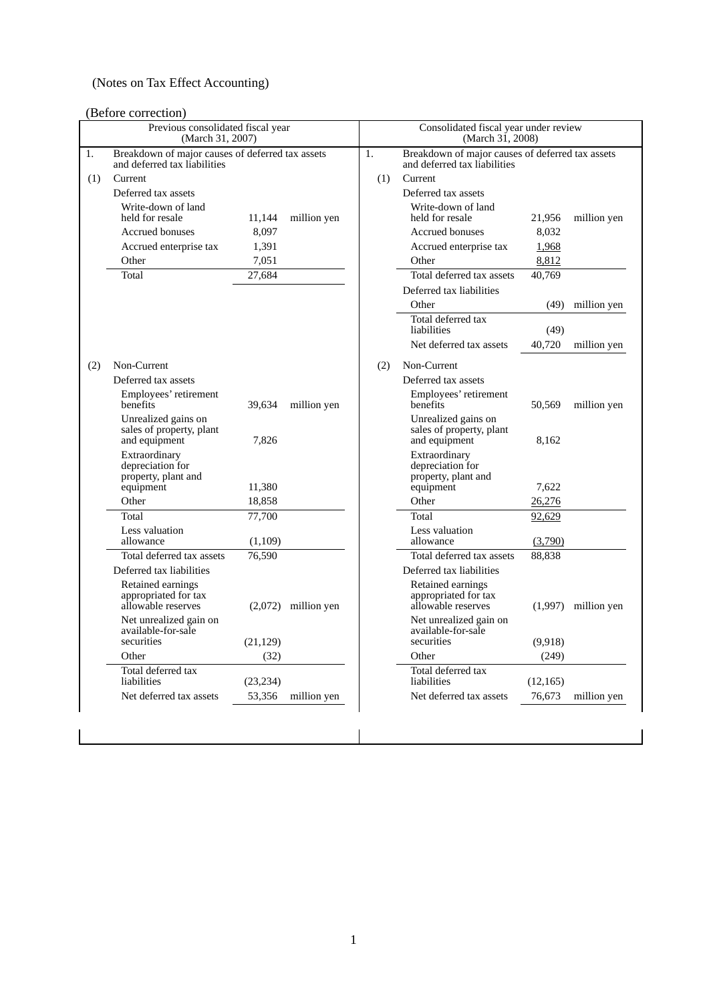## (Notes on Tax Effect Accounting)

## (Before correction)

| Previous consolidated fiscal year<br>(March 31, 2007) |                                                                                  |                   |                       | Consolidated fiscal year under review<br>(March 31, 2008) |                                                                                  |                  |             |
|-------------------------------------------------------|----------------------------------------------------------------------------------|-------------------|-----------------------|-----------------------------------------------------------|----------------------------------------------------------------------------------|------------------|-------------|
| 1.                                                    | Breakdown of major causes of deferred tax assets<br>and deferred tax liabilities |                   |                       |                                                           | Breakdown of major causes of deferred tax assets<br>and deferred tax liabilities |                  |             |
| (1)                                                   | Current                                                                          |                   |                       | (1)                                                       | Current                                                                          |                  |             |
|                                                       | Deferred tax assets                                                              |                   |                       |                                                           | Deferred tax assets                                                              |                  |             |
|                                                       | Write-down of land                                                               |                   |                       |                                                           | Write-down of land                                                               |                  |             |
|                                                       | held for resale                                                                  | 11,144            | million yen           |                                                           | held for resale                                                                  | 21,956           | million yen |
|                                                       | Accrued bonuses                                                                  | 8,097             |                       |                                                           | Accrued bonuses                                                                  | 8,032            |             |
|                                                       | Accrued enterprise tax                                                           | 1,391             |                       |                                                           | Accrued enterprise tax                                                           | 1,968            |             |
|                                                       | Other                                                                            | 7,051             |                       |                                                           | Other                                                                            | 8,812            |             |
|                                                       | Total                                                                            | 27,684            |                       |                                                           | Total deferred tax assets                                                        | 40,769           |             |
|                                                       |                                                                                  |                   |                       |                                                           | Deferred tax liabilities                                                         |                  |             |
|                                                       |                                                                                  |                   |                       |                                                           | Other                                                                            | (49)             | million yen |
|                                                       |                                                                                  |                   |                       |                                                           | Total deferred tax<br>liabilities                                                | (49)             |             |
|                                                       |                                                                                  |                   |                       |                                                           | Net deferred tax assets                                                          | 40,720           | million yen |
| (2)                                                   | Non-Current                                                                      |                   |                       | (2)                                                       | Non-Current                                                                      |                  |             |
|                                                       | Deferred tax assets                                                              |                   |                       |                                                           | Deferred tax assets                                                              |                  |             |
|                                                       | Employees' retirement<br>benefits                                                | 39,634            | million yen           |                                                           | Employees' retirement<br>benefits                                                | 50,569           | million yen |
|                                                       | Unrealized gains on<br>sales of property, plant<br>and equipment                 | 7,826             |                       |                                                           | Unrealized gains on<br>sales of property, plant<br>and equipment                 | 8,162            |             |
|                                                       | Extraordinary<br>depreciation for<br>property, plant and<br>equipment            | 11,380            |                       |                                                           | Extraordinary<br>depreciation for<br>property, plant and<br>equipment            | 7,622            |             |
|                                                       | Other                                                                            | 18,858            |                       |                                                           | Other                                                                            | 26,276           |             |
|                                                       | Total                                                                            | 77,700            |                       |                                                           | Total                                                                            | 92,629           |             |
|                                                       | Less valuation                                                                   |                   |                       |                                                           | Less valuation                                                                   |                  |             |
|                                                       | allowance                                                                        | (1,109)           |                       |                                                           | allowance                                                                        | (3,790)          |             |
|                                                       | Total deferred tax assets                                                        | 76.590            |                       |                                                           | Total deferred tax assets                                                        | 88.838           |             |
|                                                       | Deferred tax liabilities                                                         |                   |                       |                                                           | Deferred tax liabilities                                                         |                  |             |
|                                                       | Retained earnings<br>appropriated for tax<br>allowable reserves                  |                   | $(2,072)$ million yen |                                                           | Retained earnings<br>appropriated for tax<br>allowable reserves                  | (1,997)          | million yen |
|                                                       | Net unrealized gain on<br>available-for-sale<br>securities                       |                   |                       |                                                           | Net unrealized gain on<br>available-for-sale<br>securities                       |                  |             |
|                                                       | Other                                                                            | (21, 129)<br>(32) |                       |                                                           | Other                                                                            | (9,918)<br>(249) |             |
|                                                       | Total deferred tax                                                               |                   |                       |                                                           | Total deferred tax                                                               |                  |             |
|                                                       | liabilities                                                                      | (23, 234)         |                       |                                                           | liabilities                                                                      | (12, 165)        |             |
|                                                       | Net deferred tax assets                                                          | 53,356            | million yen           |                                                           | Net deferred tax assets                                                          | 76,673           | million yen |
|                                                       |                                                                                  |                   |                       |                                                           |                                                                                  |                  |             |
|                                                       |                                                                                  |                   |                       |                                                           |                                                                                  |                  |             |